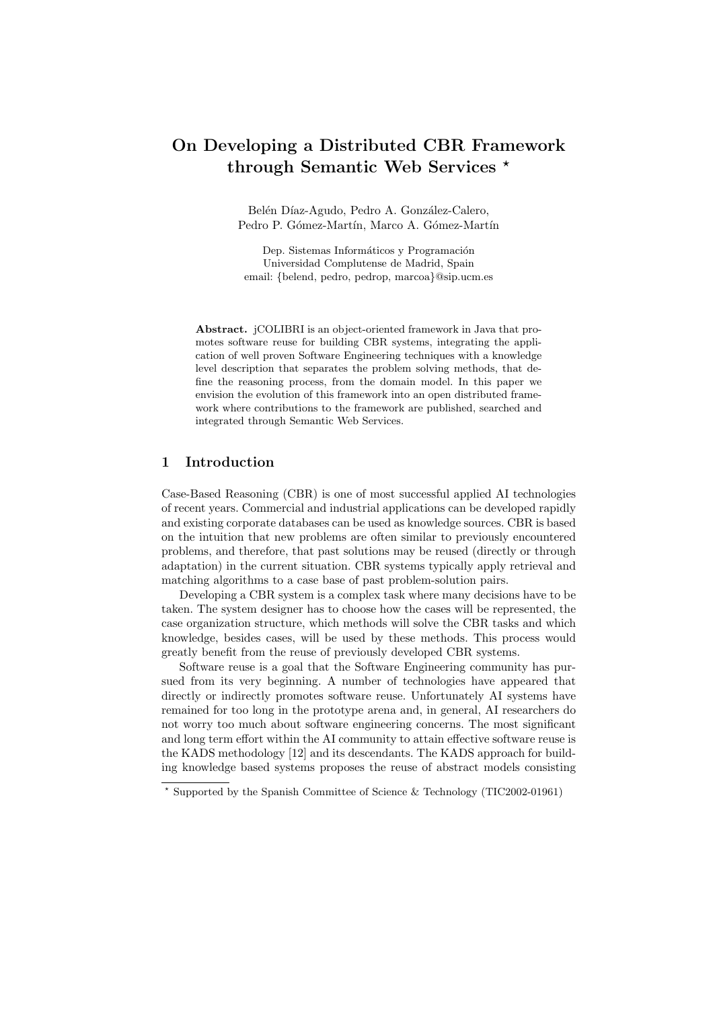# On Developing a Distributed CBR Framework through Semantic Web Services \*

Belén Díaz-Agudo, Pedro A. González-Calero, Pedro P. Gómez-Martín, Marco A. Gómez-Martín

Dep. Sistemas Informáticos y Programación Universidad Complutense de Madrid, Spain email: {belend, pedro, pedrop, marcoa}@sip.ucm.es

Abstract. jCOLIBRI is an object-oriented framework in Java that promotes software reuse for building CBR systems, integrating the application of well proven Software Engineering techniques with a knowledge level description that separates the problem solving methods, that define the reasoning process, from the domain model. In this paper we envision the evolution of this framework into an open distributed framework where contributions to the framework are published, searched and integrated through Semantic Web Services.

## 1 Introduction

Case-Based Reasoning (CBR) is one of most successful applied AI technologies of recent years. Commercial and industrial applications can be developed rapidly and existing corporate databases can be used as knowledge sources. CBR is based on the intuition that new problems are often similar to previously encountered problems, and therefore, that past solutions may be reused (directly or through adaptation) in the current situation. CBR systems typically apply retrieval and matching algorithms to a case base of past problem-solution pairs.

Developing a CBR system is a complex task where many decisions have to be taken. The system designer has to choose how the cases will be represented, the case organization structure, which methods will solve the CBR tasks and which knowledge, besides cases, will be used by these methods. This process would greatly benefit from the reuse of previously developed CBR systems.

Software reuse is a goal that the Software Engineering community has pursued from its very beginning. A number of technologies have appeared that directly or indirectly promotes software reuse. Unfortunately AI systems have remained for too long in the prototype arena and, in general, AI researchers do not worry too much about software engineering concerns. The most significant and long term effort within the AI community to attain effective software reuse is the KADS methodology [12] and its descendants. The KADS approach for building knowledge based systems proposes the reuse of abstract models consisting

<sup>?</sup> Supported by the Spanish Committee of Science & Technology (TIC2002-01961)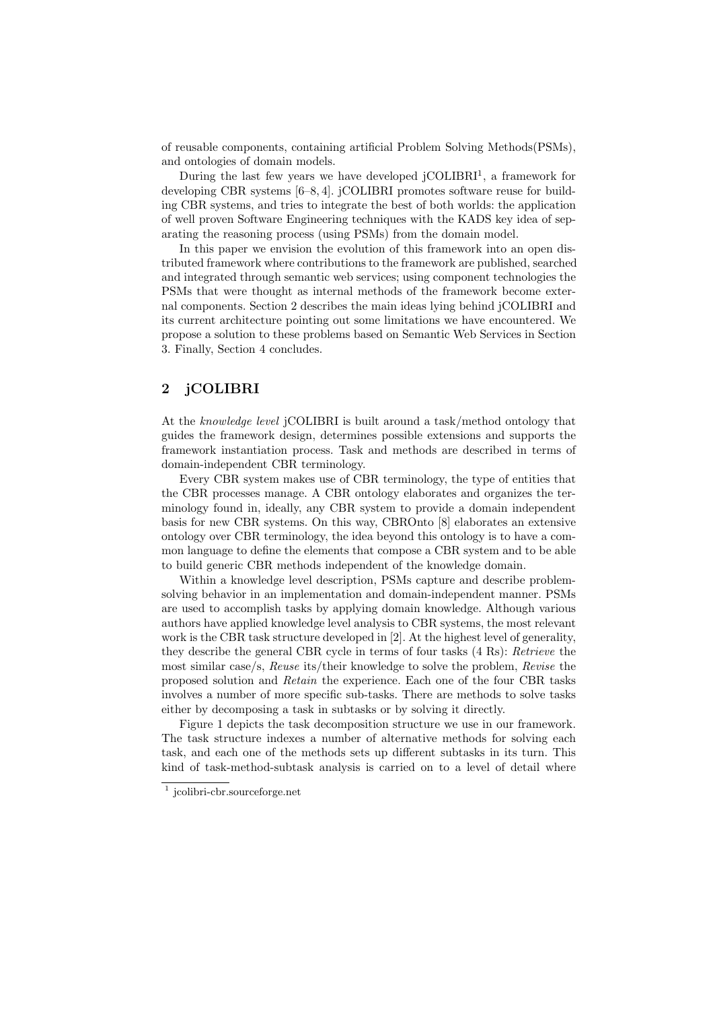of reusable components, containing artificial Problem Solving Methods(PSMs), and ontologies of domain models.

During the last few years we have developed  $jCOLIBRI<sup>1</sup>$ , a framework for developing CBR systems [6–8, 4]. jCOLIBRI promotes software reuse for building CBR systems, and tries to integrate the best of both worlds: the application of well proven Software Engineering techniques with the KADS key idea of separating the reasoning process (using PSMs) from the domain model.

In this paper we envision the evolution of this framework into an open distributed framework where contributions to the framework are published, searched and integrated through semantic web services; using component technologies the PSMs that were thought as internal methods of the framework become external components. Section 2 describes the main ideas lying behind jCOLIBRI and its current architecture pointing out some limitations we have encountered. We propose a solution to these problems based on Semantic Web Services in Section 3. Finally, Section 4 concludes.

# 2 jCOLIBRI

At the knowledge level jCOLIBRI is built around a task/method ontology that guides the framework design, determines possible extensions and supports the framework instantiation process. Task and methods are described in terms of domain-independent CBR terminology.

Every CBR system makes use of CBR terminology, the type of entities that the CBR processes manage. A CBR ontology elaborates and organizes the terminology found in, ideally, any CBR system to provide a domain independent basis for new CBR systems. On this way, CBROnto [8] elaborates an extensive ontology over CBR terminology, the idea beyond this ontology is to have a common language to define the elements that compose a CBR system and to be able to build generic CBR methods independent of the knowledge domain.

Within a knowledge level description, PSMs capture and describe problemsolving behavior in an implementation and domain-independent manner. PSMs are used to accomplish tasks by applying domain knowledge. Although various authors have applied knowledge level analysis to CBR systems, the most relevant work is the CBR task structure developed in [2]. At the highest level of generality, they describe the general CBR cycle in terms of four tasks (4 Rs): Retrieve the most similar case/s, Reuse its/their knowledge to solve the problem, Revise the proposed solution and Retain the experience. Each one of the four CBR tasks involves a number of more specific sub-tasks. There are methods to solve tasks either by decomposing a task in subtasks or by solving it directly.

Figure 1 depicts the task decomposition structure we use in our framework. The task structure indexes a number of alternative methods for solving each task, and each one of the methods sets up different subtasks in its turn. This kind of task-method-subtask analysis is carried on to a level of detail where

<sup>1</sup> jcolibri-cbr.sourceforge.net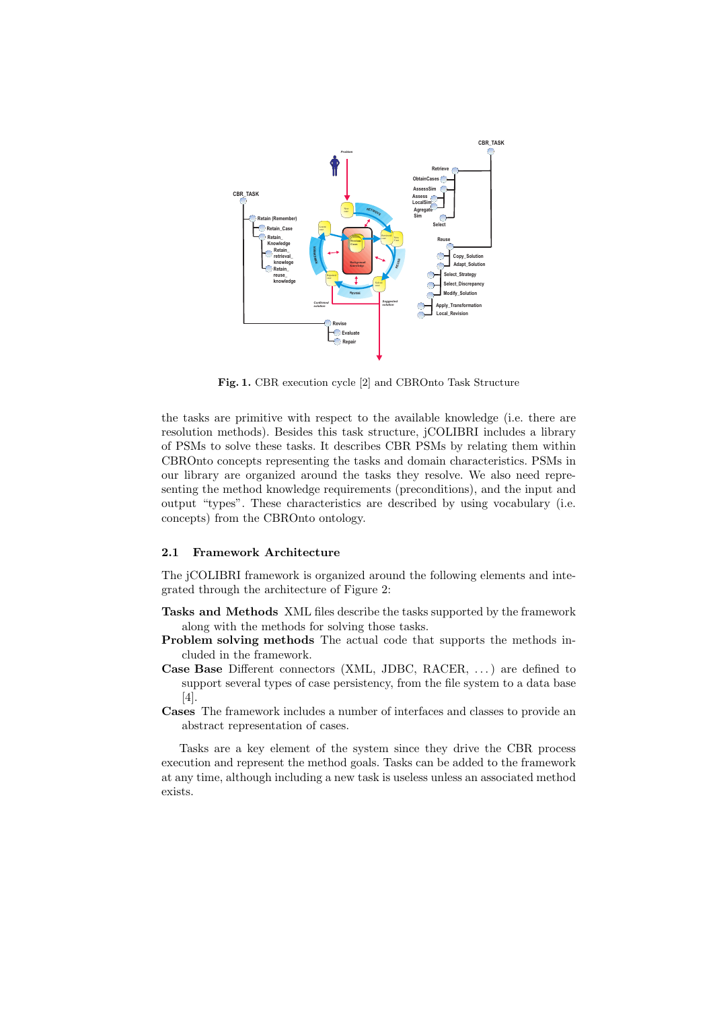

Fig. 1. CBR execution cycle [2] and CBROnto Task Structure

the tasks are primitive with respect to the available knowledge (i.e. there are resolution methods). Besides this task structure, jCOLIBRI includes a library of PSMs to solve these tasks. It describes CBR PSMs by relating them within CBROnto concepts representing the tasks and domain characteristics. PSMs in our library are organized around the tasks they resolve. We also need representing the method knowledge requirements (preconditions), and the input and output "types". These characteristics are described by using vocabulary (i.e. concepts) from the CBROnto ontology.

#### 2.1 Framework Architecture

The jCOLIBRI framework is organized around the following elements and integrated through the architecture of Figure 2:

- Tasks and Methods XML files describe the tasks supported by the framework along with the methods for solving those tasks.
- Problem solving methods The actual code that supports the methods included in the framework.
- Case Base Different connectors (XML, JDBC, RACER, . . . ) are defined to support several types of case persistency, from the file system to a data base [4].
- Cases The framework includes a number of interfaces and classes to provide an abstract representation of cases.

Tasks are a key element of the system since they drive the CBR process execution and represent the method goals. Tasks can be added to the framework at any time, although including a new task is useless unless an associated method exists.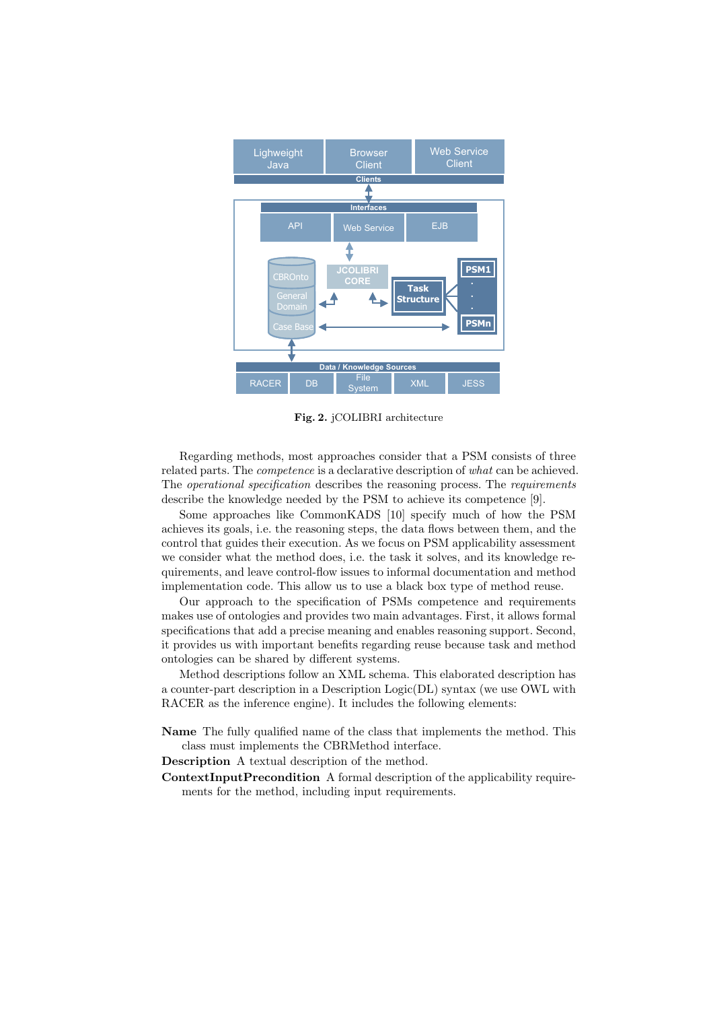

Fig. 2. jCOLIBRI architecture

Regarding methods, most approaches consider that a PSM consists of three related parts. The *competence* is a declarative description of *what* can be achieved. The *operational specification* describes the reasoning process. The *requirements* describe the knowledge needed by the PSM to achieve its competence [9].

Some approaches like CommonKADS [10] specify much of how the PSM achieves its goals, i.e. the reasoning steps, the data flows between them, and the control that guides their execution. As we focus on PSM applicability assessment we consider what the method does, i.e. the task it solves, and its knowledge requirements, and leave control-flow issues to informal documentation and method implementation code. This allow us to use a black box type of method reuse.

Our approach to the specification of PSMs competence and requirements makes use of ontologies and provides two main advantages. First, it allows formal specifications that add a precise meaning and enables reasoning support. Second, it provides us with important benefits regarding reuse because task and method ontologies can be shared by different systems.

Method descriptions follow an XML schema. This elaborated description has a counter-part description in a Description Logic(DL) syntax (we use OWL with RACER as the inference engine). It includes the following elements:

- Name The fully qualified name of the class that implements the method. This class must implements the CBRMethod interface.
- Description A textual description of the method.
- ContextInputPrecondition A formal description of the applicability requirements for the method, including input requirements.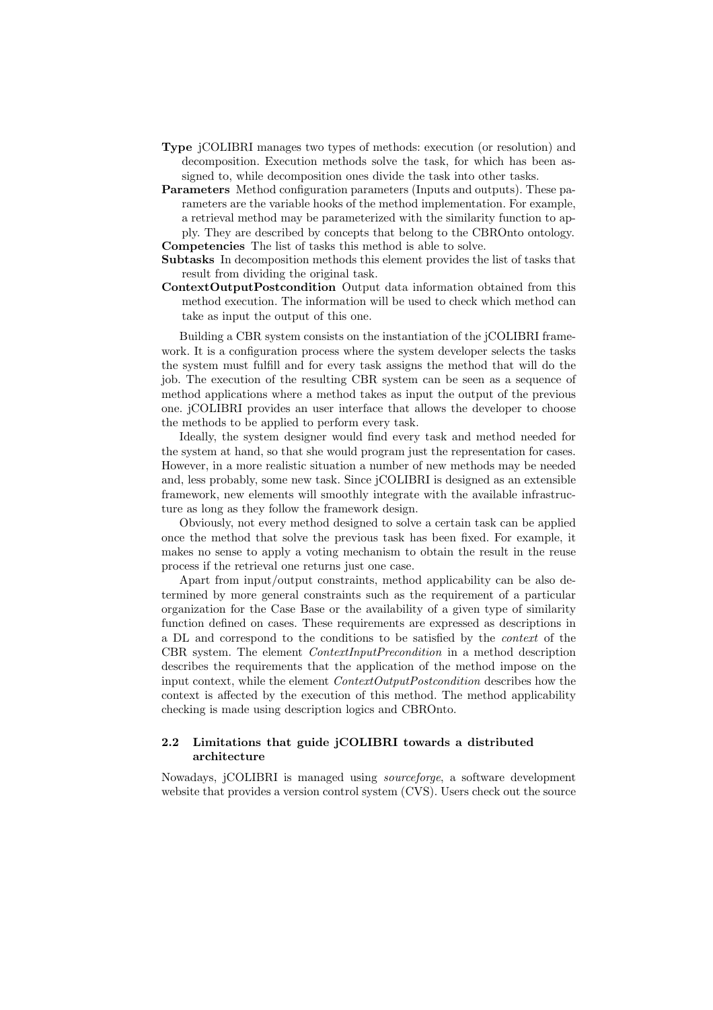- Type jCOLIBRI manages two types of methods: execution (or resolution) and decomposition. Execution methods solve the task, for which has been assigned to, while decomposition ones divide the task into other tasks.
- Parameters Method configuration parameters (Inputs and outputs). These parameters are the variable hooks of the method implementation. For example, a retrieval method may be parameterized with the similarity function to apply. They are described by concepts that belong to the CBROnto ontology. Competencies The list of tasks this method is able to solve.
- Subtasks In decomposition methods this element provides the list of tasks that result from dividing the original task.
- ContextOutputPostcondition Output data information obtained from this method execution. The information will be used to check which method can take as input the output of this one.

Building a CBR system consists on the instantiation of the jCOLIBRI framework. It is a configuration process where the system developer selects the tasks the system must fulfill and for every task assigns the method that will do the job. The execution of the resulting CBR system can be seen as a sequence of method applications where a method takes as input the output of the previous one. jCOLIBRI provides an user interface that allows the developer to choose the methods to be applied to perform every task.

Ideally, the system designer would find every task and method needed for the system at hand, so that she would program just the representation for cases. However, in a more realistic situation a number of new methods may be needed and, less probably, some new task. Since jCOLIBRI is designed as an extensible framework, new elements will smoothly integrate with the available infrastructure as long as they follow the framework design.

Obviously, not every method designed to solve a certain task can be applied once the method that solve the previous task has been fixed. For example, it makes no sense to apply a voting mechanism to obtain the result in the reuse process if the retrieval one returns just one case.

Apart from input/output constraints, method applicability can be also determined by more general constraints such as the requirement of a particular organization for the Case Base or the availability of a given type of similarity function defined on cases. These requirements are expressed as descriptions in a DL and correspond to the conditions to be satisfied by the context of the CBR system. The element ContextInputPrecondition in a method description describes the requirements that the application of the method impose on the input context, while the element ContextOutputPostcondition describes how the context is affected by the execution of this method. The method applicability checking is made using description logics and CBROnto.

### 2.2 Limitations that guide jCOLIBRI towards a distributed architecture

Nowadays, jCOLIBRI is managed using sourceforge, a software development website that provides a version control system (CVS). Users check out the source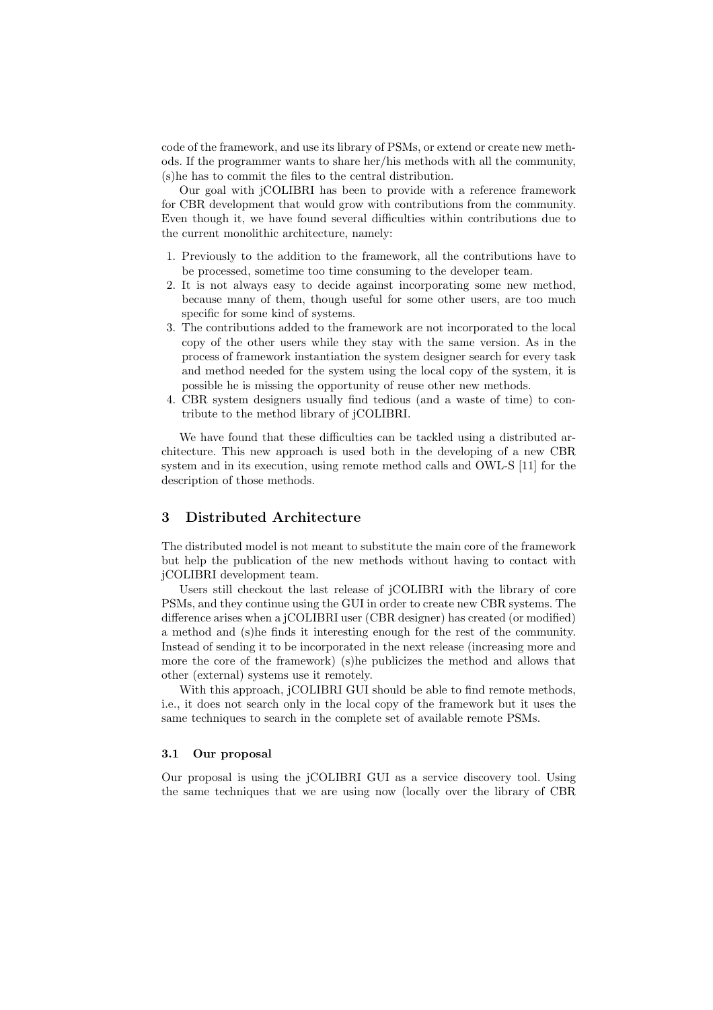code of the framework, and use its library of PSMs, or extend or create new methods. If the programmer wants to share her/his methods with all the community, (s)he has to commit the files to the central distribution.

Our goal with jCOLIBRI has been to provide with a reference framework for CBR development that would grow with contributions from the community. Even though it, we have found several difficulties within contributions due to the current monolithic architecture, namely:

- 1. Previously to the addition to the framework, all the contributions have to be processed, sometime too time consuming to the developer team.
- 2. It is not always easy to decide against incorporating some new method, because many of them, though useful for some other users, are too much specific for some kind of systems.
- 3. The contributions added to the framework are not incorporated to the local copy of the other users while they stay with the same version. As in the process of framework instantiation the system designer search for every task and method needed for the system using the local copy of the system, it is possible he is missing the opportunity of reuse other new methods.
- 4. CBR system designers usually find tedious (and a waste of time) to contribute to the method library of jCOLIBRI.

We have found that these difficulties can be tackled using a distributed architecture. This new approach is used both in the developing of a new CBR system and in its execution, using remote method calls and OWL-S [11] for the description of those methods.

# 3 Distributed Architecture

The distributed model is not meant to substitute the main core of the framework but help the publication of the new methods without having to contact with jCOLIBRI development team.

Users still checkout the last release of jCOLIBRI with the library of core PSMs, and they continue using the GUI in order to create new CBR systems. The difference arises when a jCOLIBRI user (CBR designer) has created (or modified) a method and (s)he finds it interesting enough for the rest of the community. Instead of sending it to be incorporated in the next release (increasing more and more the core of the framework) (s)he publicizes the method and allows that other (external) systems use it remotely.

With this approach, jCOLIBRI GUI should be able to find remote methods, i.e., it does not search only in the local copy of the framework but it uses the same techniques to search in the complete set of available remote PSMs.

### 3.1 Our proposal

Our proposal is using the jCOLIBRI GUI as a service discovery tool. Using the same techniques that we are using now (locally over the library of CBR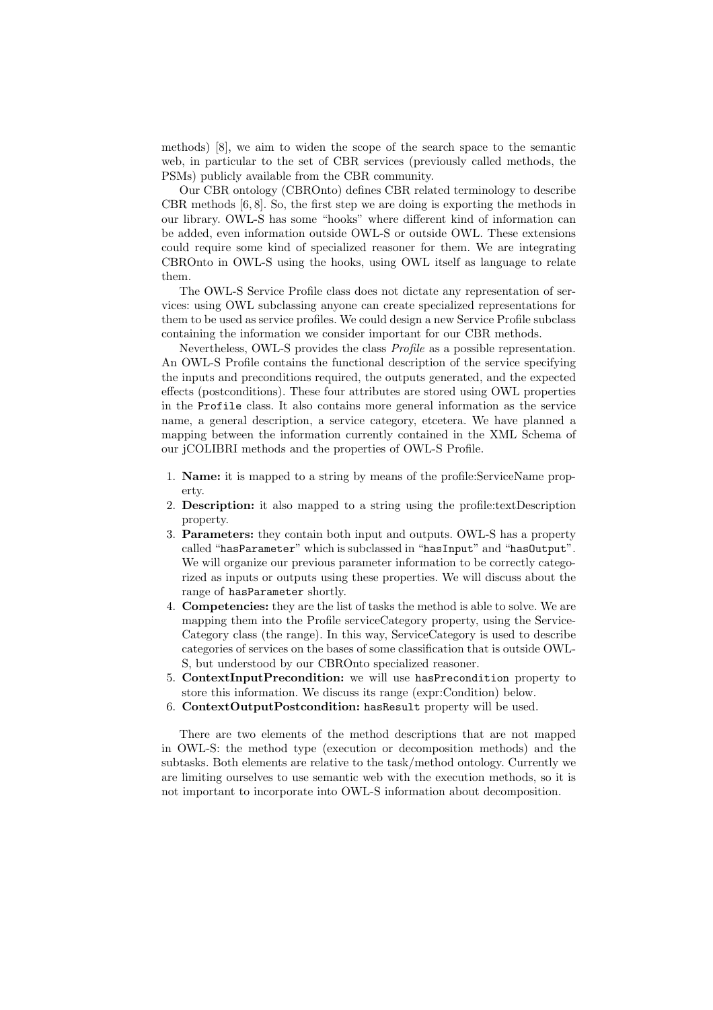methods) [8], we aim to widen the scope of the search space to the semantic web, in particular to the set of CBR services (previously called methods, the PSMs) publicly available from the CBR community.

Our CBR ontology (CBROnto) defines CBR related terminology to describe CBR methods [6, 8]. So, the first step we are doing is exporting the methods in our library. OWL-S has some "hooks" where different kind of information can be added, even information outside OWL-S or outside OWL. These extensions could require some kind of specialized reasoner for them. We are integrating CBROnto in OWL-S using the hooks, using OWL itself as language to relate them.

The OWL-S Service Profile class does not dictate any representation of services: using OWL subclassing anyone can create specialized representations for them to be used as service profiles. We could design a new Service Profile subclass containing the information we consider important for our CBR methods.

Nevertheless, OWL-S provides the class Profile as a possible representation. An OWL-S Profile contains the functional description of the service specifying the inputs and preconditions required, the outputs generated, and the expected effects (postconditions). These four attributes are stored using OWL properties in the Profile class. It also contains more general information as the service name, a general description, a service category, etcetera. We have planned a mapping between the information currently contained in the XML Schema of our jCOLIBRI methods and the properties of OWL-S Profile.

- 1. Name: it is mapped to a string by means of the profile:ServiceName property.
- 2. Description: it also mapped to a string using the profile:textDescription property.
- 3. Parameters: they contain both input and outputs. OWL-S has a property called "hasParameter" which is subclassed in "hasInput" and "hasOutput". We will organize our previous parameter information to be correctly categorized as inputs or outputs using these properties. We will discuss about the range of hasParameter shortly.
- 4. Competencies: they are the list of tasks the method is able to solve. We are mapping them into the Profile serviceCategory property, using the Service-Category class (the range). In this way, ServiceCategory is used to describe categories of services on the bases of some classification that is outside OWL-S, but understood by our CBROnto specialized reasoner.
- 5. ContextInputPrecondition: we will use hasPrecondition property to store this information. We discuss its range (expr:Condition) below.
- 6. ContextOutputPostcondition: hasResult property will be used.

There are two elements of the method descriptions that are not mapped in OWL-S: the method type (execution or decomposition methods) and the subtasks. Both elements are relative to the task/method ontology. Currently we are limiting ourselves to use semantic web with the execution methods, so it is not important to incorporate into OWL-S information about decomposition.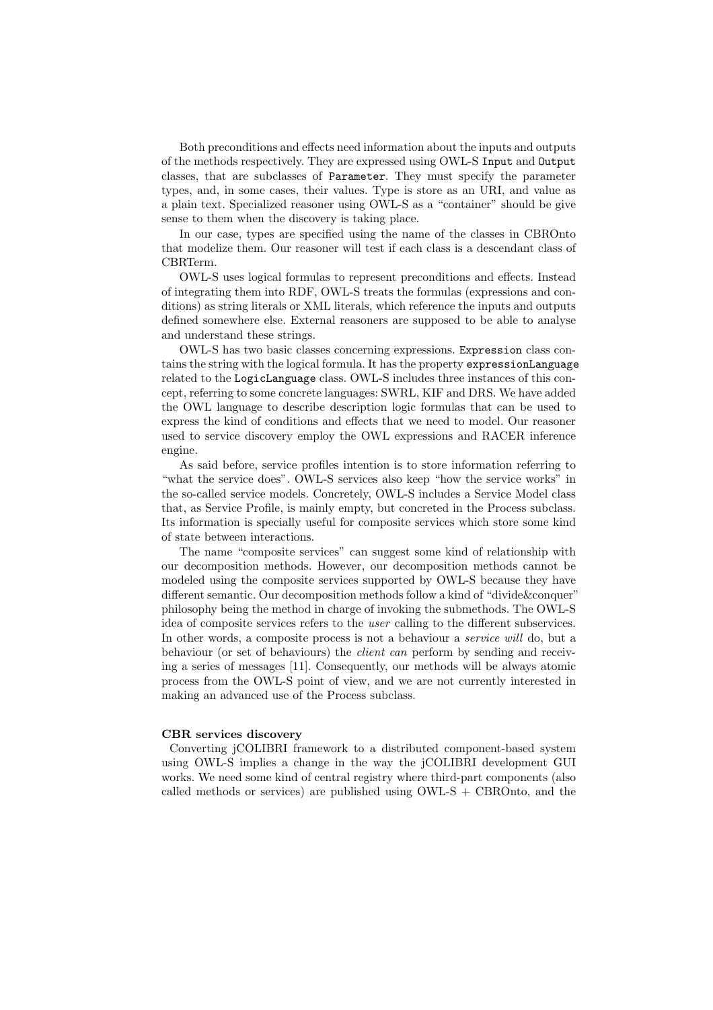Both preconditions and effects need information about the inputs and outputs of the methods respectively. They are expressed using OWL-S Input and Output classes, that are subclasses of Parameter. They must specify the parameter types, and, in some cases, their values. Type is store as an URI, and value as a plain text. Specialized reasoner using OWL-S as a "container" should be give sense to them when the discovery is taking place.

In our case, types are specified using the name of the classes in CBROnto that modelize them. Our reasoner will test if each class is a descendant class of CBRTerm.

OWL-S uses logical formulas to represent preconditions and effects. Instead of integrating them into RDF, OWL-S treats the formulas (expressions and conditions) as string literals or XML literals, which reference the inputs and outputs defined somewhere else. External reasoners are supposed to be able to analyse and understand these strings.

OWL-S has two basic classes concerning expressions. Expression class contains the string with the logical formula. It has the property expressionLanguage related to the LogicLanguage class. OWL-S includes three instances of this concept, referring to some concrete languages: SWRL, KIF and DRS. We have added the OWL language to describe description logic formulas that can be used to express the kind of conditions and effects that we need to model. Our reasoner used to service discovery employ the OWL expressions and RACER inference engine.

As said before, service profiles intention is to store information referring to "what the service does". OWL-S services also keep "how the service works" in the so-called service models. Concretely, OWL-S includes a Service Model class that, as Service Profile, is mainly empty, but concreted in the Process subclass. Its information is specially useful for composite services which store some kind of state between interactions.

The name "composite services" can suggest some kind of relationship with our decomposition methods. However, our decomposition methods cannot be modeled using the composite services supported by OWL-S because they have different semantic. Our decomposition methods follow a kind of "divide&conquer" philosophy being the method in charge of invoking the submethods. The OWL-S idea of composite services refers to the user calling to the different subservices. In other words, a composite process is not a behaviour a service will do, but a behaviour (or set of behaviours) the client can perform by sending and receiving a series of messages [11]. Consequently, our methods will be always atomic process from the OWL-S point of view, and we are not currently interested in making an advanced use of the Process subclass.

#### CBR services discovery

Converting jCOLIBRI framework to a distributed component-based system using OWL-S implies a change in the way the jCOLIBRI development GUI works. We need some kind of central registry where third-part components (also called methods or services) are published using  $OWL-S + CBROnt$ , and the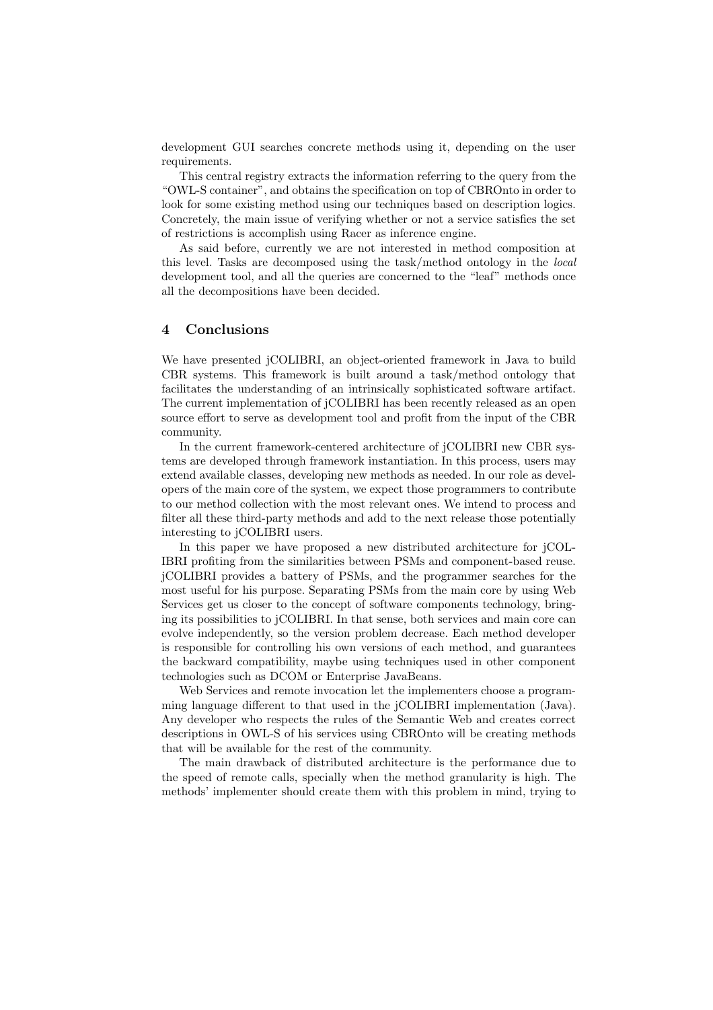development GUI searches concrete methods using it, depending on the user requirements.

This central registry extracts the information referring to the query from the "OWL-S container", and obtains the specification on top of CBROnto in order to look for some existing method using our techniques based on description logics. Concretely, the main issue of verifying whether or not a service satisfies the set of restrictions is accomplish using Racer as inference engine.

As said before, currently we are not interested in method composition at this level. Tasks are decomposed using the task/method ontology in the local development tool, and all the queries are concerned to the "leaf" methods once all the decompositions have been decided.

### 4 Conclusions

We have presented jCOLIBRI, an object-oriented framework in Java to build CBR systems. This framework is built around a task/method ontology that facilitates the understanding of an intrinsically sophisticated software artifact. The current implementation of jCOLIBRI has been recently released as an open source effort to serve as development tool and profit from the input of the CBR community.

In the current framework-centered architecture of jCOLIBRI new CBR systems are developed through framework instantiation. In this process, users may extend available classes, developing new methods as needed. In our role as developers of the main core of the system, we expect those programmers to contribute to our method collection with the most relevant ones. We intend to process and filter all these third-party methods and add to the next release those potentially interesting to jCOLIBRI users.

In this paper we have proposed a new distributed architecture for jCOL-IBRI profiting from the similarities between PSMs and component-based reuse. jCOLIBRI provides a battery of PSMs, and the programmer searches for the most useful for his purpose. Separating PSMs from the main core by using Web Services get us closer to the concept of software components technology, bringing its possibilities to jCOLIBRI. In that sense, both services and main core can evolve independently, so the version problem decrease. Each method developer is responsible for controlling his own versions of each method, and guarantees the backward compatibility, maybe using techniques used in other component technologies such as DCOM or Enterprise JavaBeans.

Web Services and remote invocation let the implementers choose a programming language different to that used in the jCOLIBRI implementation (Java). Any developer who respects the rules of the Semantic Web and creates correct descriptions in OWL-S of his services using CBROnto will be creating methods that will be available for the rest of the community.

The main drawback of distributed architecture is the performance due to the speed of remote calls, specially when the method granularity is high. The methods' implementer should create them with this problem in mind, trying to